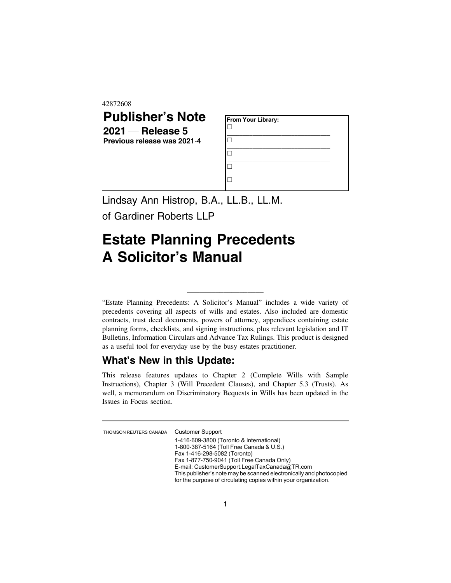42872608

## **Publisher's Note 2021** — **Release 5 Previous release was 2021**-**4**

| From Your Library: |  |
|--------------------|--|
|                    |  |
|                    |  |
|                    |  |
|                    |  |

Lindsay Ann Histrop, B.A., LL.B., LL.M.

of Gardiner Roberts LLP

## **Estate Planning Precedents A Solicitor's Manual**

"Estate Planning Precedents: A Solicitor's Manual" includes a wide variety of precedents covering all aspects of wills and estates. Also included are domestic contracts, trust deed documents, powers of attorney, appendices containing estate planning forms, checklists, and signing instructions, plus relevant legislation and IT Bulletins, Information Circulars and Advance Tax Rulings. This product is designed as a useful tool for everyday use by the busy estates practitioner.

\_\_\_\_\_\_\_\_\_\_\_\_\_\_\_\_\_\_\_

## **What's New in this Update:**

This release features updates to Chapter 2 (Complete Wills with Sample Instructions), Chapter 3 (Will Precedent Clauses), and Chapter 5.3 (Trusts). As well, a memorandum on Discriminatory Bequests in Wills has been updated in the Issues in Focus section.

THOMSON REUTERS CANADA Customer Support

1-416-609-3800 (Toronto & International) 1-800-387-5164 (Toll Free Canada & U.S.) Fax 1-416-298-5082 (Toronto) Fax 1-877-750-9041 (Toll Free Canada Only) E-mail: CustomerSupport.LegalTaxCanada@TR.com This publisher's note may be scanned electronically and photocopied for the purpose of circulating copies within your organization.